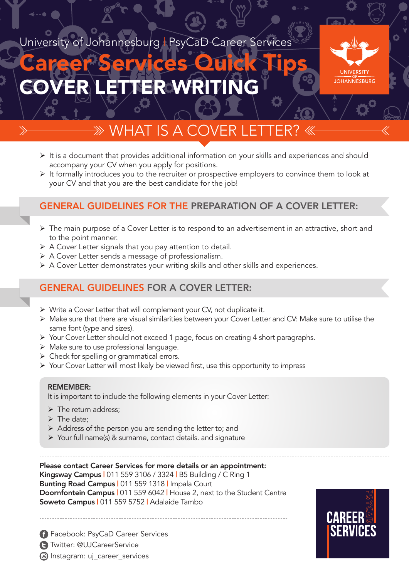# University of Johannesburg | PsyCaD Career Services

# COVER LETTER WRITING Career Services Quick Tips



# $\gg$  WHAT IS A COVI

- $\triangleright$  It is a document that provides additional information on your skills and experiences and should accompany your CV when you apply for positions.
- $\triangleright$  It formally introduces you to the recruiter or prospective employers to convince them to look at your CV and that you are the best candidate for the job!

### GENERAL GUIDELINES FOR THE PREPARATION OF A COVER LETTER:

- Ø The main purpose of a Cover Letter is to respond to an advertisement in an attractive, short and to the point manner.
- $\triangleright$  A Cover Letter signals that you pay attention to detail.
- $\triangleright$  A Cover Letter sends a message of professionalism.
- $\triangleright$  A Cover Letter demonstrates your writing skills and other skills and experiences.

# GENERAL GUIDELINES FOR A COVER LETTER:

- $\triangleright$  Write a Cover Letter that will complement your CV, not duplicate it.
- Ø Make sure that there are visual similarities between your Cover Letter and CV: Make sure to utilise the same font (type and sizes).
- Ø Your Cover Letter should not exceed 1 page, focus on creating 4 short paragraphs.
- $\triangleright$  Make sure to use professional language.
- $\triangleright$  Check for spelling or grammatical errors.
- Ø Your Cover Letter will most likely be viewed first, use this opportunity to impress

#### REMEMBER:

It is important to include the following elements in your Cover Letter:

- $\triangleright$  The return address;
- $\triangleright$  The date:
- $\triangleright$  Address of the person you are sending the letter to; and
- Ø Your full name(s) & surname, contact details. and signature

Please contact Career Services for more details or an appointment: Kingsway Campus | 011 559 3106 / 3324 | B5 Building / C Ring 1 Bunting Road Campus | 011 559 1318 | Impala Court Doornfontein Campus | 011 559 6042 | House 2, next to the Student Centre Soweto Campus | 011 559 5752 | Adalaide Tambo

 Facebook: PsyCaD Career Services Twitter: @UJCareerService **a** Instagram: uj\_career\_services